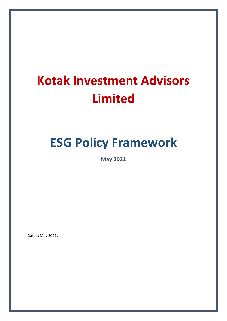# **Kotak Investment Advisors Limited**

# **ESG Policy Framework**

**May 2021**

Dated: May 2021.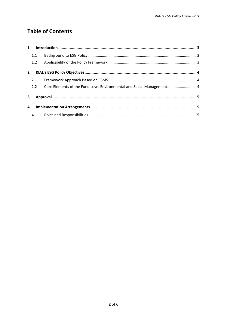## **Table of Contents**

| $\mathbf{1}$ |     |                                                                       |  |
|--------------|-----|-----------------------------------------------------------------------|--|
|              | 1.1 |                                                                       |  |
|              | 1.2 |                                                                       |  |
| $2^{\circ}$  |     |                                                                       |  |
|              | 2.1 |                                                                       |  |
|              | 2.2 | Core Elements of the Fund Level Environmental and Social Management 4 |  |
| 3            |     |                                                                       |  |
| 4            |     |                                                                       |  |
|              | 4.1 |                                                                       |  |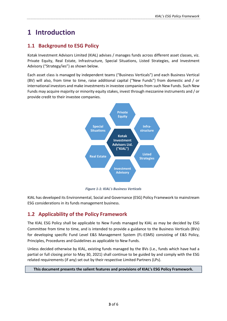# <span id="page-2-0"></span>**1 Introduction**

## <span id="page-2-1"></span>**1.1 Background to ESG Policy**

Kotak Investment Advisors Limited (KIAL) advises / manages funds across different asset classes, viz. Private Equity, Real Estate, Infrastructure, Special Situations, Listed Strategies, and Investment Advisory ("Strategy/ies") as shown below.

Each asset class is managed by independent teams ("Business Verticals") and each Business Vertical (BV) will also, from time to time, raise additional capital ("New Funds") from domestic and / or international investors and make investments in investee companies from such New Funds. Such New Funds may acquire majority or minority equity stakes, invest through mezzanine instruments and / or provide credit to their investee companies.



*Figure 1-1: KIAL's Business Verticals*

KIAL has developed its Environmental, Social and Governance (ESG) Policy Framework to mainstream ESG considerations in its funds management business.

## <span id="page-2-2"></span>**1.2 Applicability of the Policy Framework**

The KIAL ESG Policy shall be applicable to New Funds managed by KIAL as may be decided by ESG Committee from time to time, and is intended to provide a guidance to the Business Verticals (BVs) for developing specific Fund Level E&S Management System (FL-ESMS) consisting of E&S Policy, Principles, Procedures and Guidelines as applicable to New Funds.

Unless decided otherwise by KIAL, existing funds managed by the BVs (i.e., funds which have had a partial or full closing prior to May 30, 2021) shall continue to be guided by and comply with the ESG related requirements (if any) set out by their respective Limited Partners (LPs).

#### **This document presents the salient features and provisions of KIAL's ESG Policy Framework.**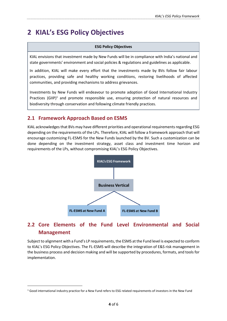## <span id="page-3-0"></span>**2 KIAL's ESG Policy Objectives**

#### **ESG Policy Objectives**

KIAL envisions that investment made by New Funds will be in compliance with India's national and state governments' environment and social policies & regulations and guidelines as applicable.

In addition, KIAL will make every effort that the investments made by BVs follow fair labour practices, providing safe and healthy working conditions, restoring livelihoods of affected communities, and providing mechanisms to address grievances.

Investments by New Funds will endeavour to promote adoption of Good International Industry Practices (GIIP)<sup>1</sup> and promote responsible use, ensuring protection of natural resources and biodiversity through conservation and following climate friendly practices.

### <span id="page-3-1"></span>**2.1 Framework Approach Based on ESMS**

KIAL acknowledges that BVs may have different priorities and operational requirements regarding ESG depending on the requirements of the LPs. Therefore, KIAL will follow a framework approach that will encourage customizing FL-ESMS for the New Funds launched by the BV. Such a customization can be done depending on the investment strategy, asset class and investment time horizon and requirements of the LPs, without compromising KIAL's ESG Policy Objectives.



## <span id="page-3-2"></span>**2.2 Core Elements of the Fund Level Environmental and Social Management**

Subject to alignment with a Fund's LP requirements, the ESMS at the Fund level is expected to conform to KIAL's ESG Policy Objectives. The FL-ESMS will describe the integration of E&S risk management in the business process and decision making and will be supported by procedures, formats, and tools for implementation.

**.** 

<sup>1</sup> Good international industry practice for a New Fund refers to ESG related requirements of investors in the New Fund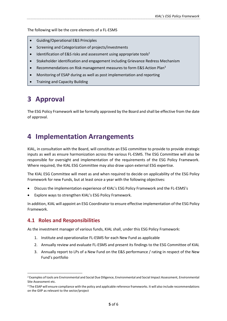The following will be the core elements of a FL-ESMS

- Guiding/Operational E&S Principles
- Screening and Categorization of projects/investments
- $\bullet$  Identification of E&S risks and assessment using appropriate tools<sup>2</sup>
- Stakeholder identification and engagement including Grievance Redress Mechanism
- Recommendations on Risk management measures to form E&S Action Plan<sup>3</sup>
- Monitoring of ESAP during as well as post implementation and reporting
- Training and Capacity Building

## <span id="page-4-0"></span>**3 Approval**

The ESG Policy Framework will be formally approved by the Board and shall be effective from the date of approval.

## <span id="page-4-1"></span>**4 Implementation Arrangements**

KIAL, in consultation with the Board, will constitute an ESG committee to provide to provide strategic inputs as well as ensure harmonization across the various FL-ESMS. The ESG Committee will also be responsible for oversight and implementation of the requirements of the ESG Policy Framework. Where required, the KIAL ESG Committee may also draw upon external ESG expertise.

The KIAL ESG Committee will meet as and when required to decide on applicability of the ESG Policy Framework for new Funds, but at least once a year with the following objectives:

- Discuss the implementation experience of KIAL's ESG Policy Framework and the FL-ESMS's
- Explore ways to strengthen KIAL's ESG Policy Framework.

In addition, KIAL will appoint an ESG Coordinator to ensure effective implementation of the ESG Policy Framework.

### <span id="page-4-2"></span>**4.1 Roles and Responsibilities**

**.** 

As the investment manager of various funds, KIAL shall, under this ESG Policy Framework:

- 1. Institute and operationalize FL-ESMS for each New Fund as applicable
- 2. Annually review and evaluate FL-ESMS and present its findings to the ESG Committee of KIAL
- 3. Annually report to LPs of a New Fund on the E&S performance / rating in respect of the New Fund's portfolio

<sup>2</sup> Examples of tools are Environmental and Social Due Diligence, Environmental and Social Impact Assessment, Environmental Site Assessment etc.

<sup>&</sup>lt;sup>3</sup> The ESAP will ensure compliance with the policy and applicable reference frameworks. It will also include recommendations on the GIIP as relevant to the sector/project